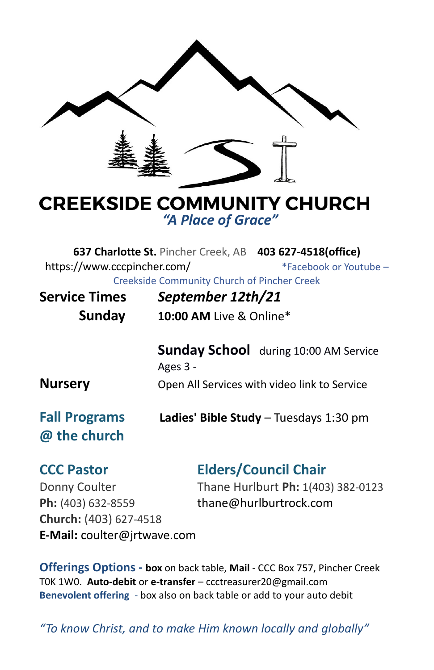

## **CREEKSIDE COMMUNITY CHURCH** *"A Place of Grace"*

**637 Charlotte St.** Pincher Creek, AB **403 627-4518(office)**  <https://www.cccpincher.com/>\*Facebook or Youtube – Creekside Community Church of Pincher Creek

| <b>Service Times</b><br>Sunday       | September 12th/21<br>10:00 AM Live & Online*             |
|--------------------------------------|----------------------------------------------------------|
|                                      | <b>Sunday School</b> during 10:00 AM Service<br>Ages 3 - |
| <b>Nursery</b>                       | Open All Services with video link to Service             |
| <b>Fall Programs</b><br>@ the church | Ladies' Bible Study - Tuesdays 1:30 pm                   |
|                                      | Elden (Armed Ale                                         |

Ph: (403) 632-8559 [thane@hurlburtrock.com](mailto:thane@hurlburtrock.com) **Church:** (403) 627-4518 **E-Mail:** [coulter@jrtwave.com](mailto:coulter@jrtwave.com)

#### **CCC Pastor Elders/Council Chair**

Donny Coulter Thane Hurlburt **Ph:** 1(403) 382-0123

**Offerings Options - box** on back table, **Mail** - CCC Box 757, Pincher Creek T0K 1W0. **Auto-debit** or **e-transfer** – [ccctreasurer20@gmail.com](mailto:ccctreasurer20@gmail.com) **Benevolent offering** - box also on back table or add to your auto debit

*"To know Christ, and to make Him known locally and globally"*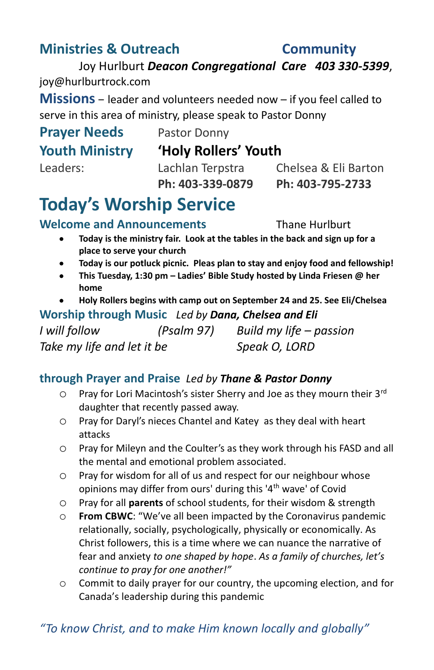## **Ministries & Outreach Community**

# *"To know Christ, and to make Him known locally and globally"*

Joy Hurlburt *Deacon Congregational Care 403 330-5399*, [joy@hurlburtrock.com](mailto:joy@hurlburtrock.com)

**Missions** – leader and volunteers needed now – if you feel called to serve in this area of ministry, please speak to Pastor Donny

#### **Prayer Needs** Pastor Donny **Youth Ministry 'Holy Rollers' Youth**

Leaders: Lachlan Terpstra Chelsea & Eli Barton **Ph: 403-339-0879 Ph: 403-795-2733**

## **Today's Worship Service**

**Welcome and Announcements** Thane Hurlburt

- **Today is the ministry fair. Look at the tables in the back and sign up for a place to serve your church**
- **Today is our potluck picnic. Pleas plan to stay and enjoy food and fellowship!**
- **This Tuesday, 1:30 pm – Ladies' Bible Study hosted by Linda Friesen @ her home**
- **Holy Rollers begins with camp out on September 24 and 25. See Eli/Chelsea**

#### **Worship through Music** *Led by Dana, Chelsea and Eli*

*I will follow (Psalm 97) Build my life – passion Take my life and let it be Speak O, LORD* 

#### **through Prayer and Praise** *Led by Thane & Pastor Donny*

- $\degree$  Pray for Lori Macintosh's sister Sherry and Joe as they mourn their 3<sup>rd</sup> daughter that recently passed away.
- o Pray for Daryl's nieces Chantel and Katey as they deal with heart attacks
- o Pray for Mileyn and the Coulter's as they work through his FASD and all the mental and emotional problem associated.
- o Pray for wisdom for all of us and respect for our neighbour whose opinions may differ from ours' during this '4<sup>th</sup> wave' of Covid
- o Pray for all **parents** of school students, for their wisdom & strength
- o **From CBWC**: "We've all been impacted by the Coronavirus pandemic relationally, socially, psychologically, physically or economically. As Christ followers, this is a time where we can nuance the narrative of fear and anxiety *to one shaped by hope*. *As a family of churches, let's continue to pray for one another!"*
- o Commit to daily prayer for our country, the upcoming election, and for Canada's leadership during this pandemic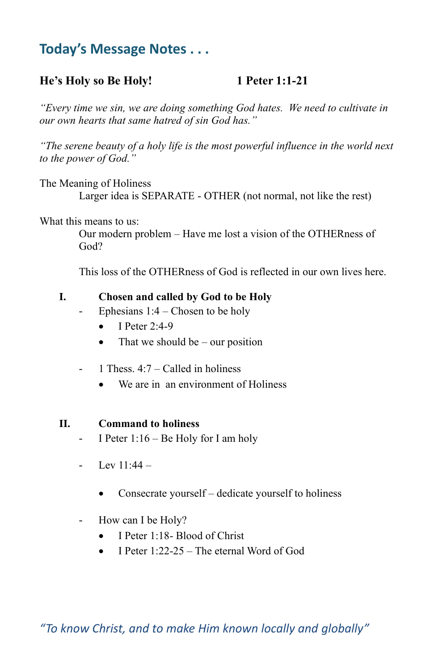## **Today's Message Notes . . .**

#### **He's Holy so Be Holy! 1 Peter 1:1-21**

*"Every time we sin, we are doing something God hates. We need to cultivate in our own hearts that same hatred of sin God has."*

*"The serene beauty of a holy life is the most powerful influence in the world next to the power of God."*

The Meaning of Holiness

Larger idea is SEPARATE - OTHER (not normal, not like the rest)

What this means to us:

Our modern problem – Have me lost a vision of the OTHERness of God?

This loss of the OTHERness of God is reflected in our own lives here.

#### **I. Chosen and called by God to be Holy**

- Ephesians  $1:4$  Chosen to be holy
	- $\bullet$  I Peter 2:4-9
	- That we should be our position
- $-1$  Thess.  $4:7 -$ Called in holiness
	- We are in an environment of Holiness

#### **II. Command to holiness**

- I Peter  $1:16$  Be Holy for I am holy
- $I_{\text{ev}} 11.44 -$ 
	- Consecrate yourself dedicate yourself to holiness
- How can I be Holy?
	- I Peter 1:18- Blood of Christ
	- I Peter 1:22-25 The eternal Word of God

*"To know Christ, and to make Him known locally and globally"*